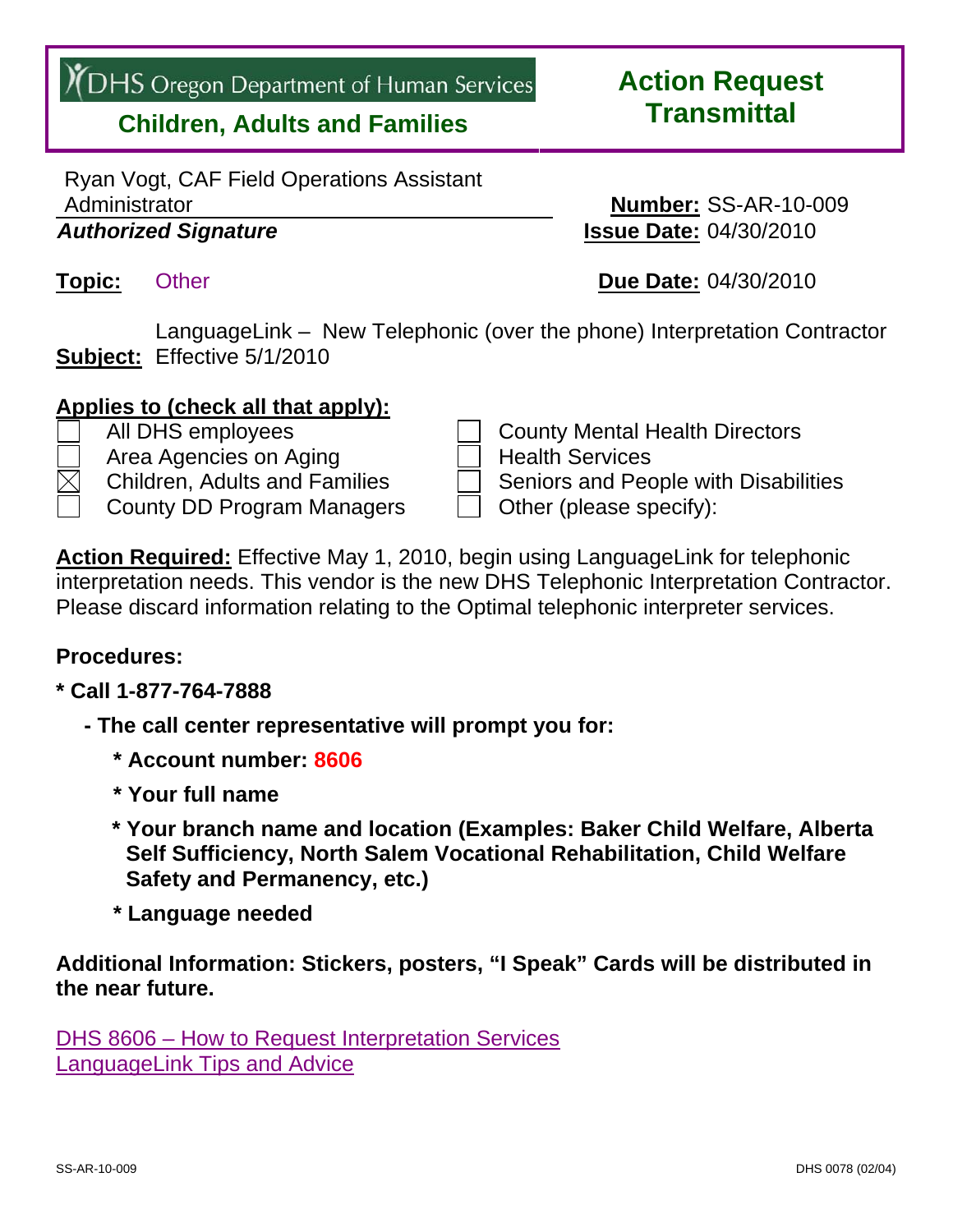# **/ DHS** Oregon Department of Human Services

### **Children, Adults and Families**

Ryan Vogt, CAF Field Operations Assistant Administrator **Number:** SS-AR-10-009 *Authorized Signature* **Issue Date:** 04/30/2010

**Subject:** Effective 5/1/2010 LanguageLink – New Telephonic (over the phone) Interpretation Contractor

#### **Applies to (check all that apply):**

- All DHS employees and County Mental Health Directors
- Area Agencies on Aging Health Services
- Children, Adults and Families  $\Box$  Seniors and People with Disabilities
- 

County DD Program Managers  $\vert \vert$  Other (please specify):

**Action Required:** Effective May 1, 2010, begin using LanguageLink for telephonic interpretation needs. This vendor is the new DHS Telephonic Interpretation Contractor. Please discard information relating to the Optimal telephonic interpreter services.

#### **Procedures:**

#### **\* Call 1-877-764-7888**

- **The call center representative will prompt you for:** 
	- **\* Account number: 8606**
	- **\* Your full name**
	- **\* Your branch name and location (Examples: Baker Child Welfare, Alberta Self Sufficiency, North Salem Vocational Rehabilitation, Child Welfare Safety and Permanency, etc.)**
	- **\* Language needed**

**Additional Information: Stickers, posters, "I Speak" Cards will be distributed in the near future.** 

[DHS 8606 – How to Request Interpretation Services](http://www.dhs.state.or.us/policy/selfsufficiency/publications/ss-ar-10-009-8606-attach.pdf) [LanguageLink Tips and Advice](http://www.dhs.state.or.us/policy/selfsufficiency/publications/ss-ar-10-009-tips-attach.pdf)

## **Action Request Transmittal**

**Topic:** Other **Due Date:** 04/30/2010